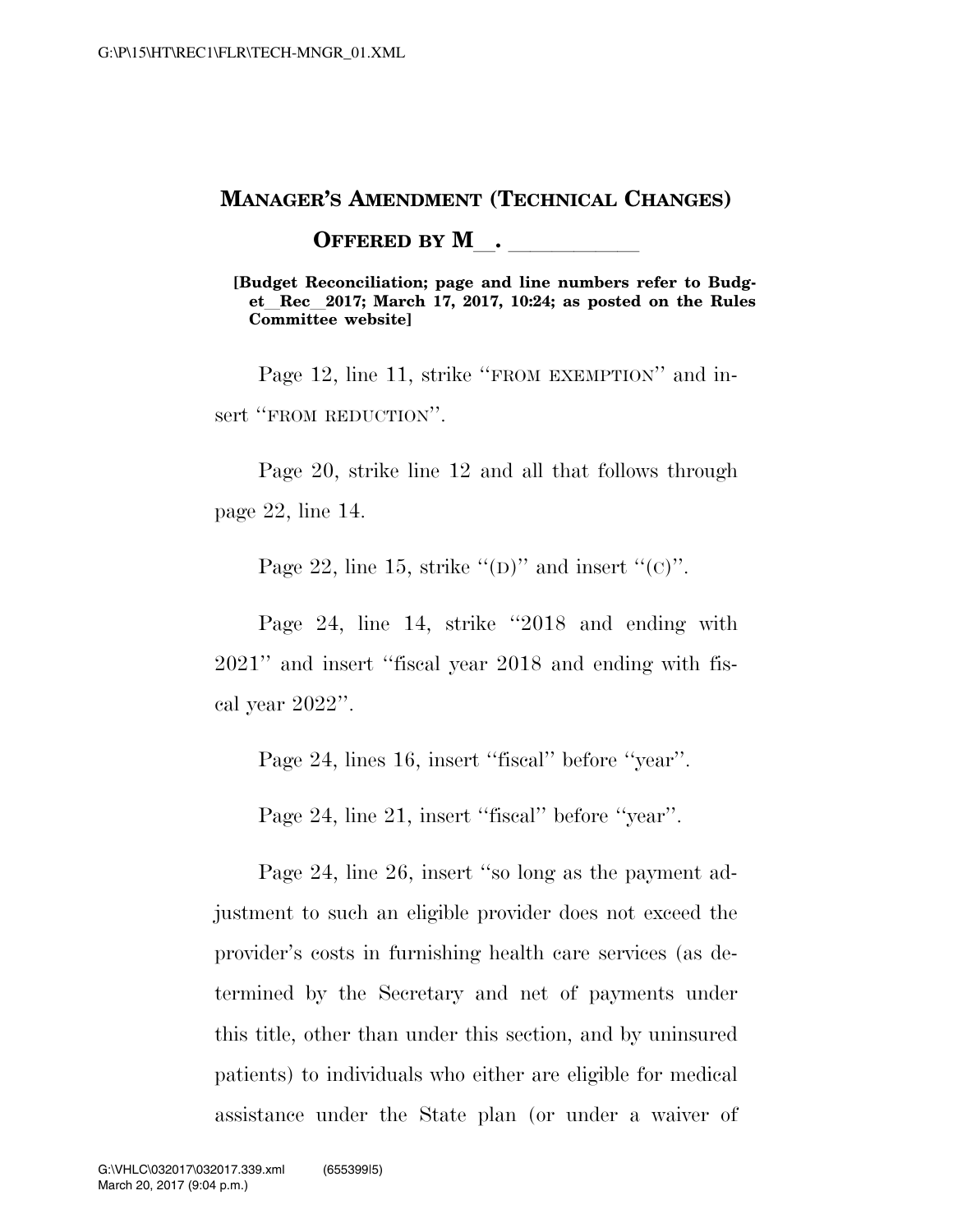### **MANAGER'S AMENDMENT (TECHNICAL CHANGES)**

**OFFERED BY M**.

**[Budget Reconciliation; page and line numbers refer to Budget**l**Rec**l**2017; March 17, 2017, 10:24; as posted on the Rules Committee website]** 

Page 12, line 11, strike "FROM EXEMPTION" and insert "FROM REDUCTION".

Page 20, strike line 12 and all that follows through page 22, line 14.

Page 22, line 15, strike  $\lq(\mathbf{D})$ " and insert  $\lq(\mathbf{C})$ ".

Page 24, line 14, strike ''2018 and ending with 2021'' and insert ''fiscal year 2018 and ending with fiscal year 2022''.

Page 24, lines 16, insert ''fiscal'' before ''year''.

Page 24, line 21, insert ''fiscal'' before ''year''.

Page 24, line 26, insert ''so long as the payment adjustment to such an eligible provider does not exceed the provider's costs in furnishing health care services (as determined by the Secretary and net of payments under this title, other than under this section, and by uninsured patients) to individuals who either are eligible for medical assistance under the State plan (or under a waiver of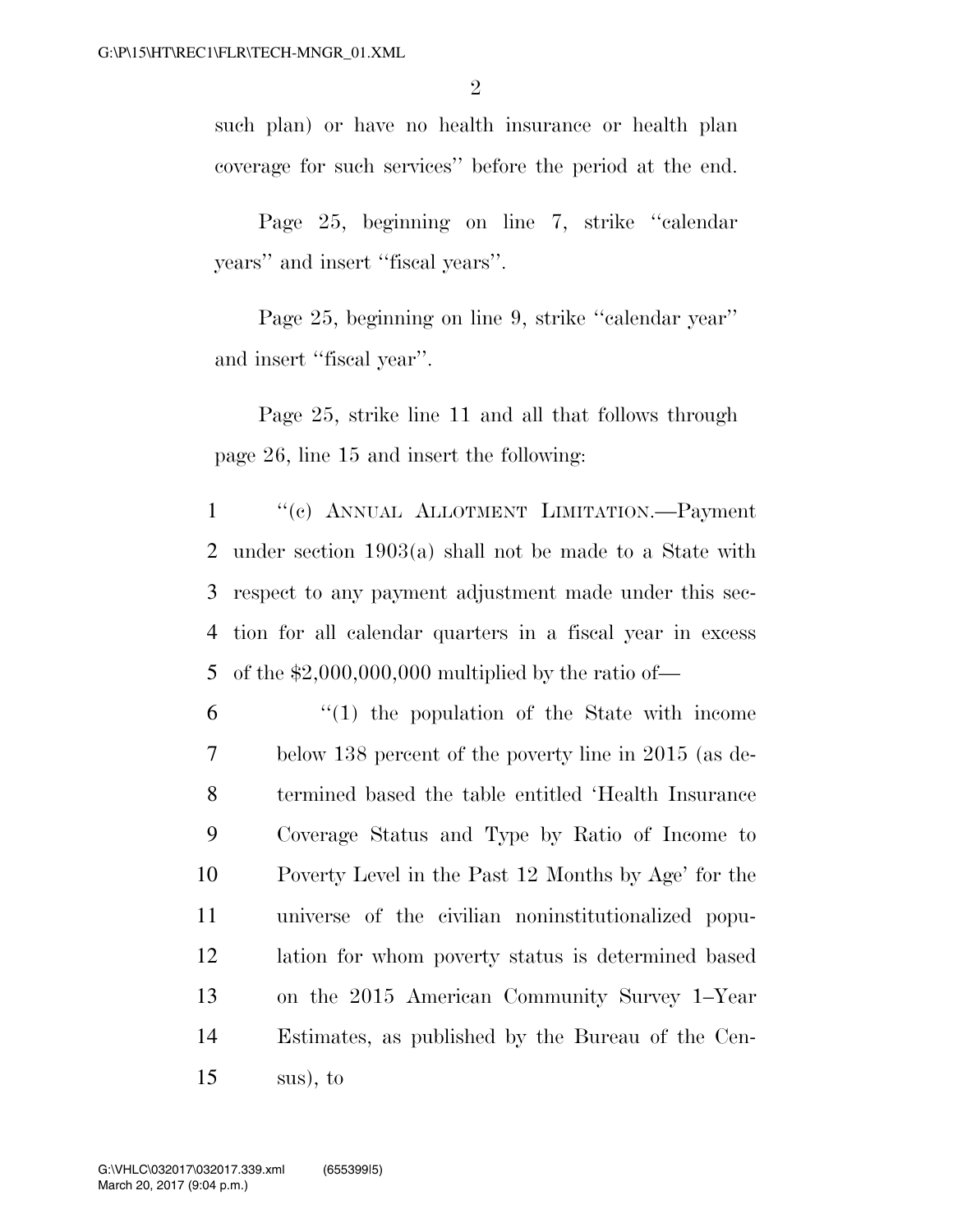such plan) or have no health insurance or health plan coverage for such services'' before the period at the end.

Page 25, beginning on line 7, strike ''calendar years'' and insert ''fiscal years''.

Page 25, beginning on line 9, strike ''calendar year'' and insert ''fiscal year''.

Page 25, strike line 11 and all that follows through page 26, line 15 and insert the following:

 ''(c) ANNUAL ALLOTMENT LIMITATION.—Payment under section 1903(a) shall not be made to a State with respect to any payment adjustment made under this sec- tion for all calendar quarters in a fiscal year in excess 5 of the  $$2,000,000,000$  multiplied by the ratio of

 "(1) the population of the State with income below 138 percent of the poverty line in 2015 (as de- termined based the table entitled 'Health Insurance Coverage Status and Type by Ratio of Income to Poverty Level in the Past 12 Months by Age' for the universe of the civilian noninstitutionalized popu- lation for whom poverty status is determined based on the 2015 American Community Survey 1–Year Estimates, as published by the Bureau of the Cen-sus), to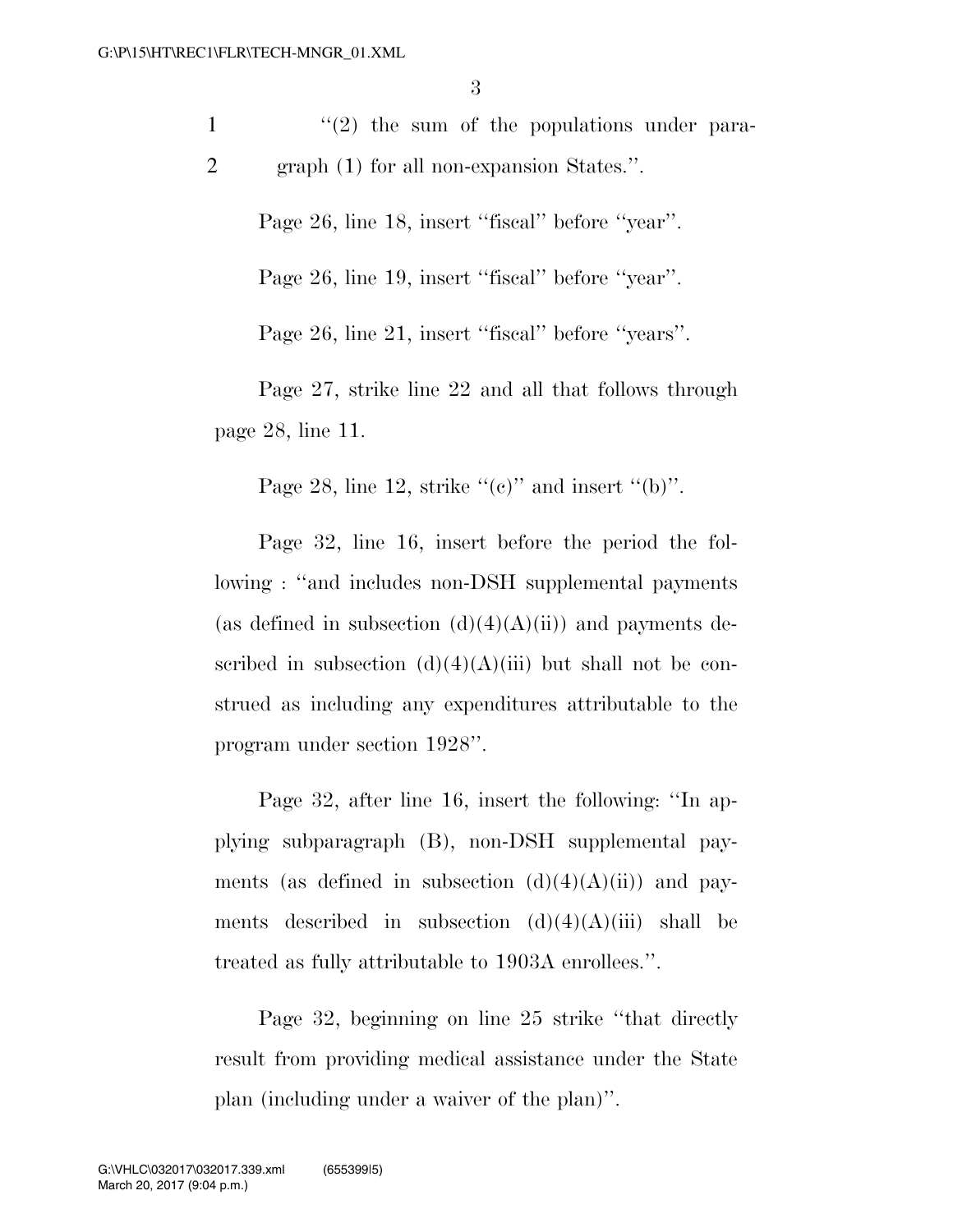$\frac{1}{2}$  ''(2) the sum of the populations under para-2 graph (1) for all non-expansion States.''.

Page 26, line 18, insert "fiscal" before "year".

Page 26, line 19, insert "fiscal" before "year".

Page 26, line 21, insert ''fiscal'' before ''years''.

Page 27, strike line 22 and all that follows through page 28, line 11.

Page 28, line 12, strike " $(e)$ " and insert " $(b)$ ".

Page 32, line 16, insert before the period the following : ''and includes non-DSH supplemental payments (as defined in subsection  $(d)(4)(A)(ii)$ ) and payments described in subsection  $(d)(4)(A)(iii)$  but shall not be construed as including any expenditures attributable to the program under section 1928''.

Page 32, after line 16, insert the following: ''In applying subparagraph (B), non-DSH supplemental payments (as defined in subsection  $(d)(4)(A)(ii)$ ) and payments described in subsection  $(d)(4)(A)(iii)$  shall be treated as fully attributable to 1903A enrollees.''.

Page 32, beginning on line 25 strike ''that directly result from providing medical assistance under the State plan (including under a waiver of the plan)''.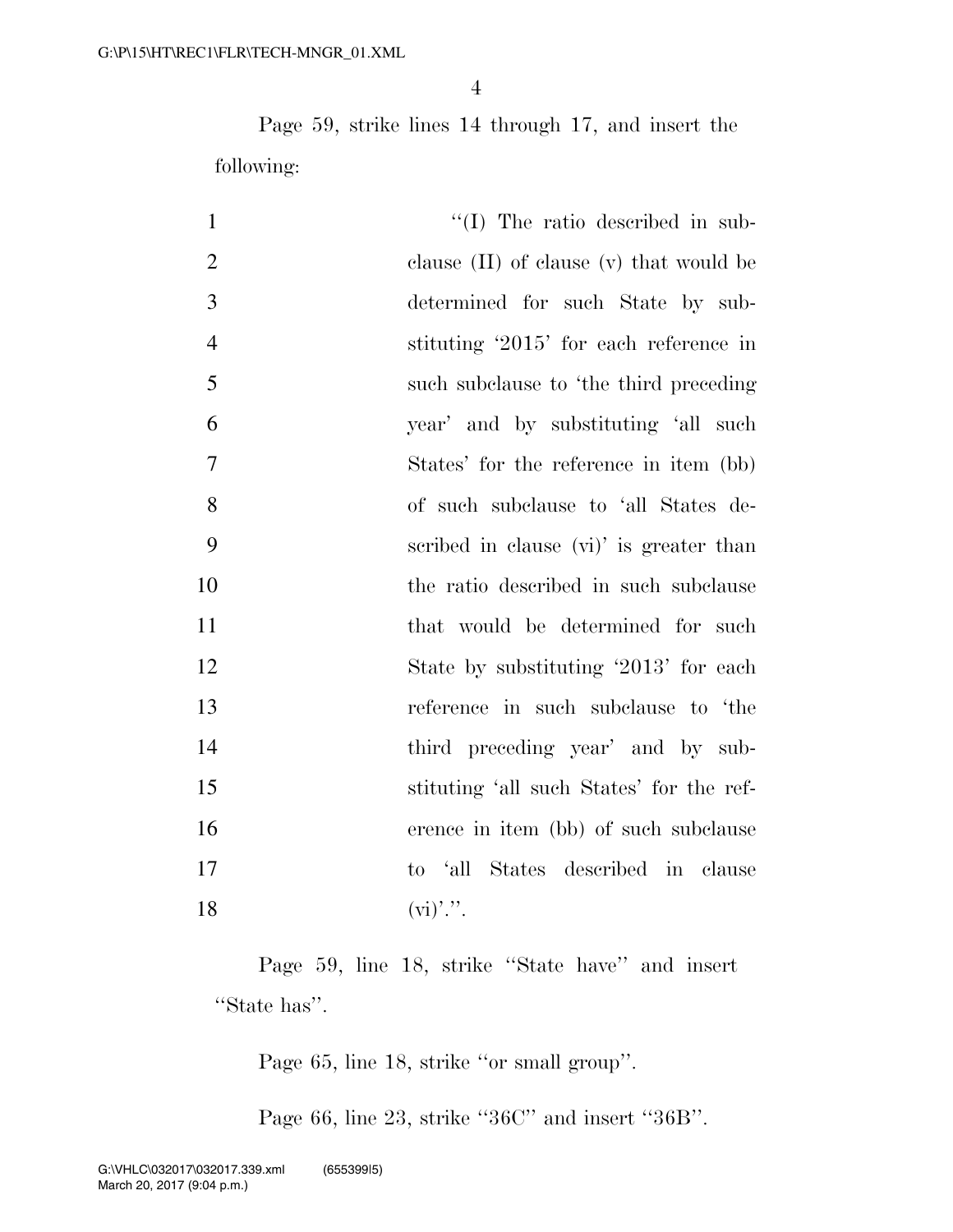Page 59, strike lines 14 through 17, and insert the following:

| $\mathbf{1}$   | $\lq\lq$ (I) The ratio described in sub-    |
|----------------|---------------------------------------------|
| $\overline{2}$ | clause $(II)$ of clause $(v)$ that would be |
| 3              | determined for such State by sub-           |
| $\overline{4}$ | stituting '2015' for each reference in      |
| 5              | such subclause to 'the third preceding      |
| 6              | year' and by substituting 'all such         |
| 7              | States' for the reference in item (bb)      |
| 8              | of such subclause to 'all States de-        |
| 9              | scribed in clause (vi)' is greater than     |
| 10             | the ratio described in such subclause       |
| 11             | that would be determined for such           |
| 12             | State by substituting '2013' for each       |
| 13             | reference in such subclause to 'the         |
| 14             | third preceding year' and by sub-           |
| 15             | stituting 'all such States' for the ref-    |
| 16             | erence in item (bb) of such subclause       |
| 17             | to 'all States described in clause          |
| 18             | $(v_i)$ ".                                  |

Page 59, line 18, strike "State have" and insert ''State has''.

Page 65, line 18, strike ''or small group''.

Page 66, line 23, strike ''36C'' and insert ''36B''.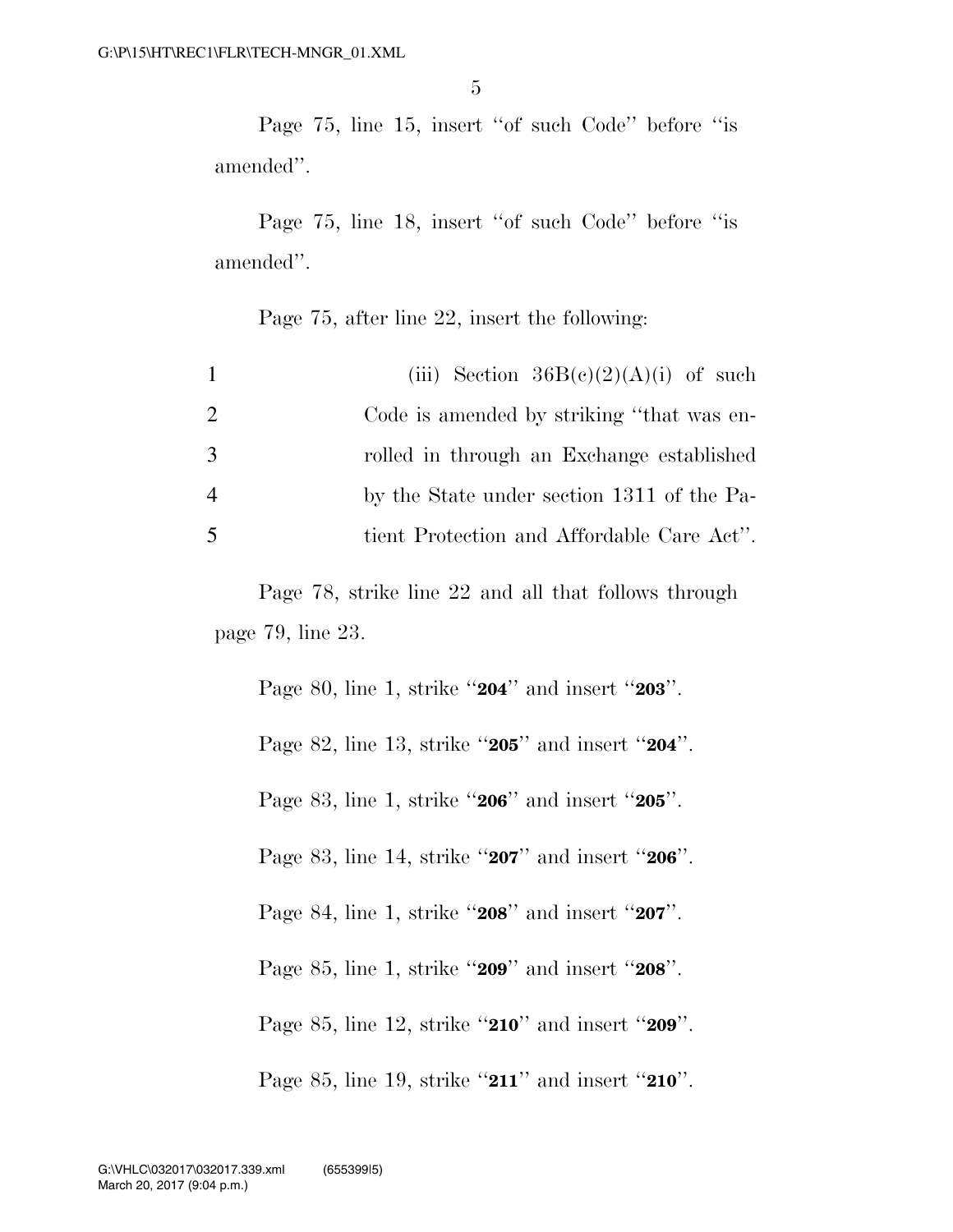Page 75, line 15, insert ''of such Code'' before ''is amended''.

Page 75, line 18, insert ''of such Code'' before ''is amended''.

Page 75, after line 22, insert the following:

| $\mathbf{1}$   | (iii) Section $36B(e)(2)(A)(i)$ of such    |
|----------------|--------------------------------------------|
| 2              | Code is amended by striking "that was en-  |
| 3              | rolled in through an Exchange established  |
| $\overline{4}$ | by the State under section 1311 of the Pa- |
| 5              | tient Protection and Affordable Care Act". |

Page 78, strike line 22 and all that follows through page 79, line 23.

Page 80, line 1, strike ''**204**'' and insert ''**203**''. Page 82, line 13, strike ''**205**'' and insert ''**204**''. Page 83, line 1, strike ''**206**'' and insert ''**205**''. Page 83, line 14, strike ''**207**'' and insert ''**206**''. Page 84, line 1, strike ''**208**'' and insert ''**207**''. Page 85, line 1, strike ''**209**'' and insert ''**208**''. Page 85, line 12, strike ''**210**'' and insert ''**209**''. Page 85, line 19, strike ''**211**'' and insert ''**210**''.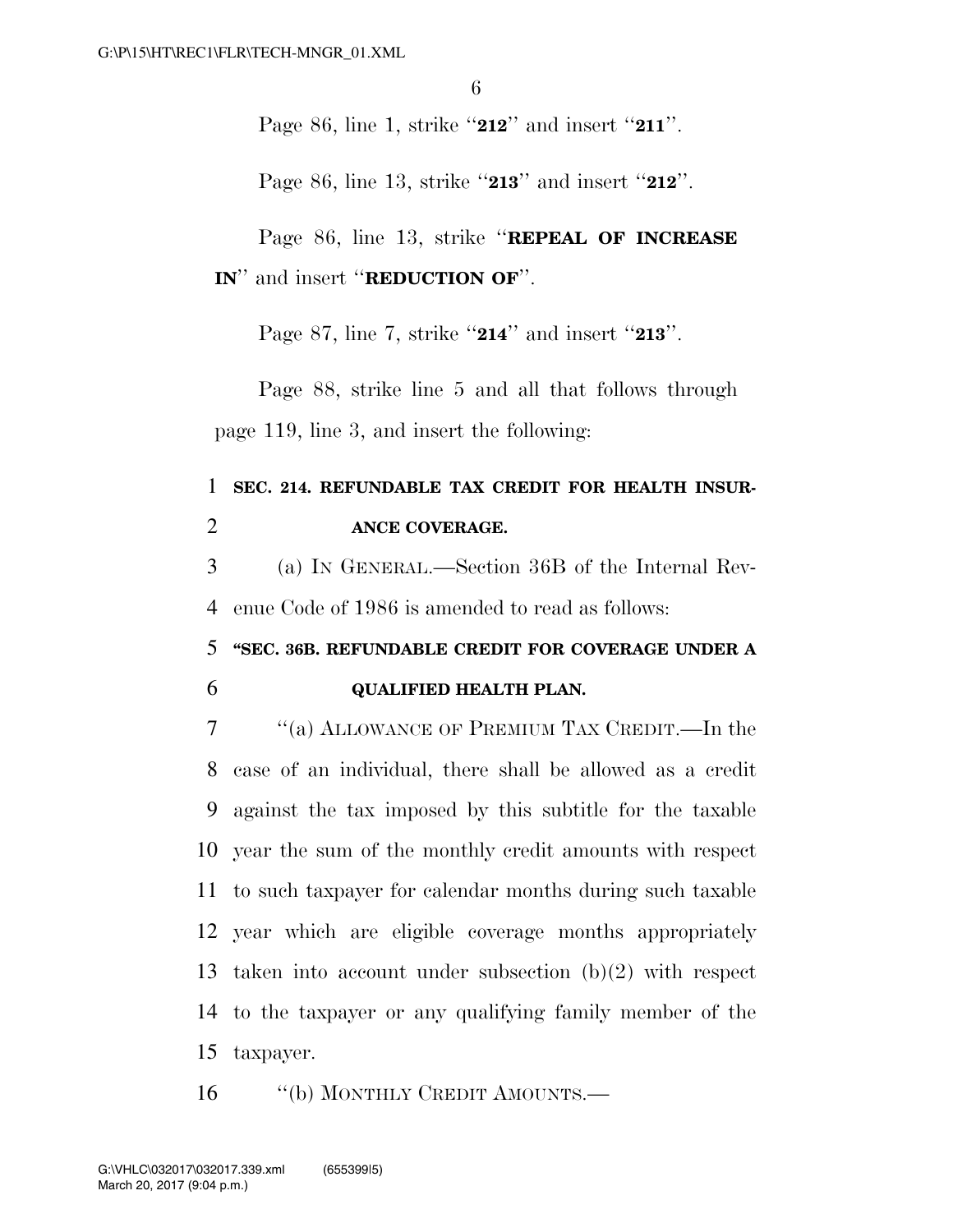Page 86, line 1, strike ''**212**'' and insert ''**211**''.

Page 86, line 13, strike ''**213**'' and insert ''**212**''.

Page 86, line 13, strike ''**REPEAL OF INCREASE IN**'' and insert ''**REDUCTION OF**''.

Page 87, line 7, strike ''**214**'' and insert ''**213**''.

Page 88, strike line 5 and all that follows through page 119, line 3, and insert the following:

## 1 **SEC. 214. REFUNDABLE TAX CREDIT FOR HEALTH INSUR-**2 **ANCE COVERAGE.**

3 (a) IN GENERAL.—Section 36B of the Internal Rev-4 enue Code of 1986 is amended to read as follows:

#### 5 **''SEC. 36B. REFUNDABLE CREDIT FOR COVERAGE UNDER A**

#### 6 **QUALIFIED HEALTH PLAN.**

 ''(a) ALLOWANCE OF PREMIUM TAX CREDIT.—In the case of an individual, there shall be allowed as a credit against the tax imposed by this subtitle for the taxable year the sum of the monthly credit amounts with respect to such taxpayer for calendar months during such taxable year which are eligible coverage months appropriately taken into account under subsection (b)(2) with respect to the taxpayer or any qualifying family member of the taxpayer.

16 "(b) MONTHLY CREDIT AMOUNTS.—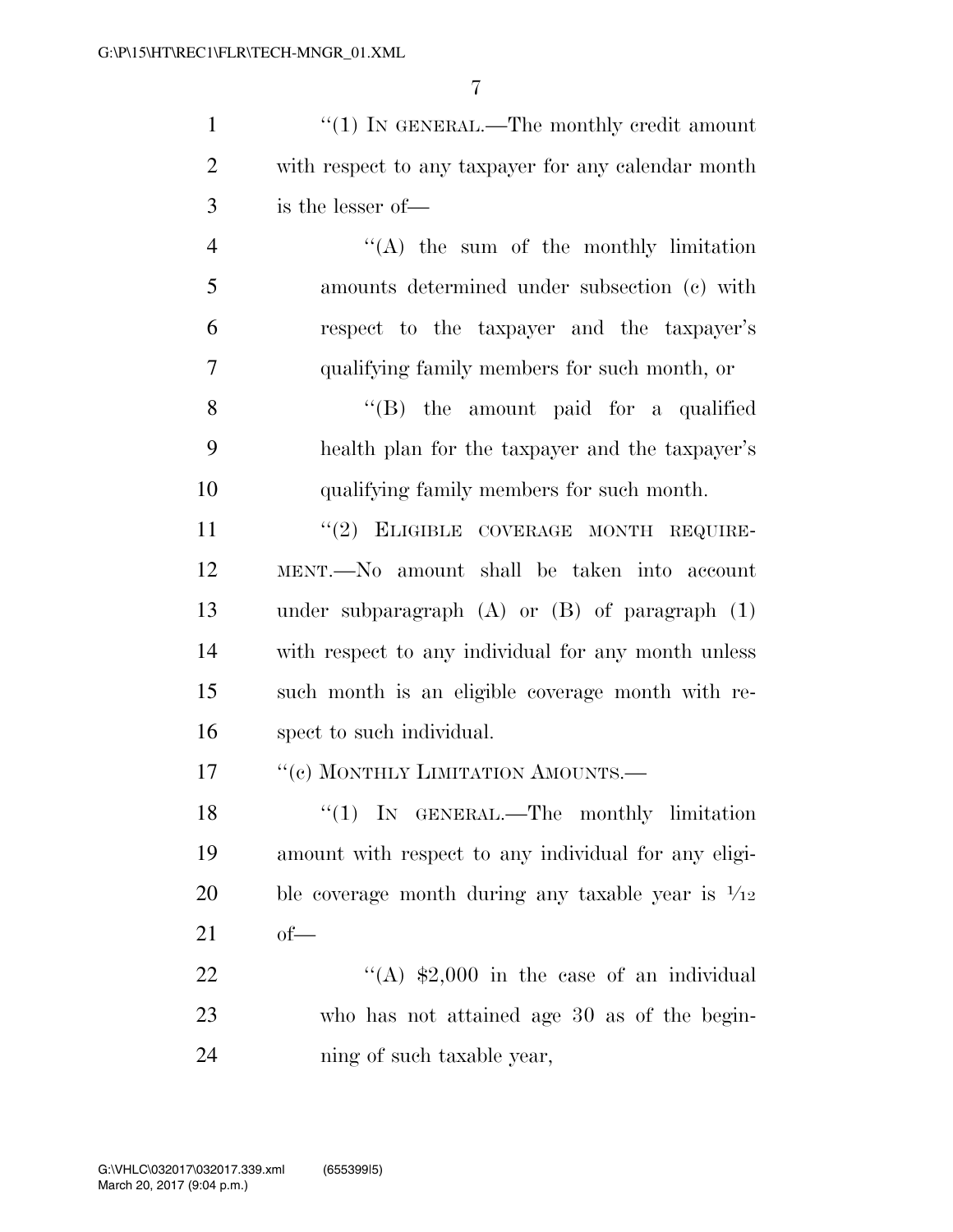1 ''(1) IN GENERAL.—The monthly credit amount with respect to any taxpayer for any calendar month is the lesser of—

 ''(A) the sum of the monthly limitation amounts determined under subsection (c) with respect to the taxpayer and the taxpayer's qualifying family members for such month, or

 ''(B) the amount paid for a qualified health plan for the taxpayer and the taxpayer's qualifying family members for such month.

11 "(2) ELIGIBLE COVERAGE MONTH REQUIRE- MENT.—No amount shall be taken into account under subparagraph (A) or (B) of paragraph (1) with respect to any individual for any month unless such month is an eligible coverage month with re-spect to such individual.

17 <sup>"</sup>(c) MONTHLY LIMITATION AMOUNTS.—

18 "(1) IN GENERAL.—The monthly limitation amount with respect to any individual for any eligi-20 ble coverage month during any taxable year is  $\frac{1}{12}$ of—

22  $\frac{4}{(A)}$  \$2,000 in the case of an individual who has not attained age 30 as of the begin-ning of such taxable year,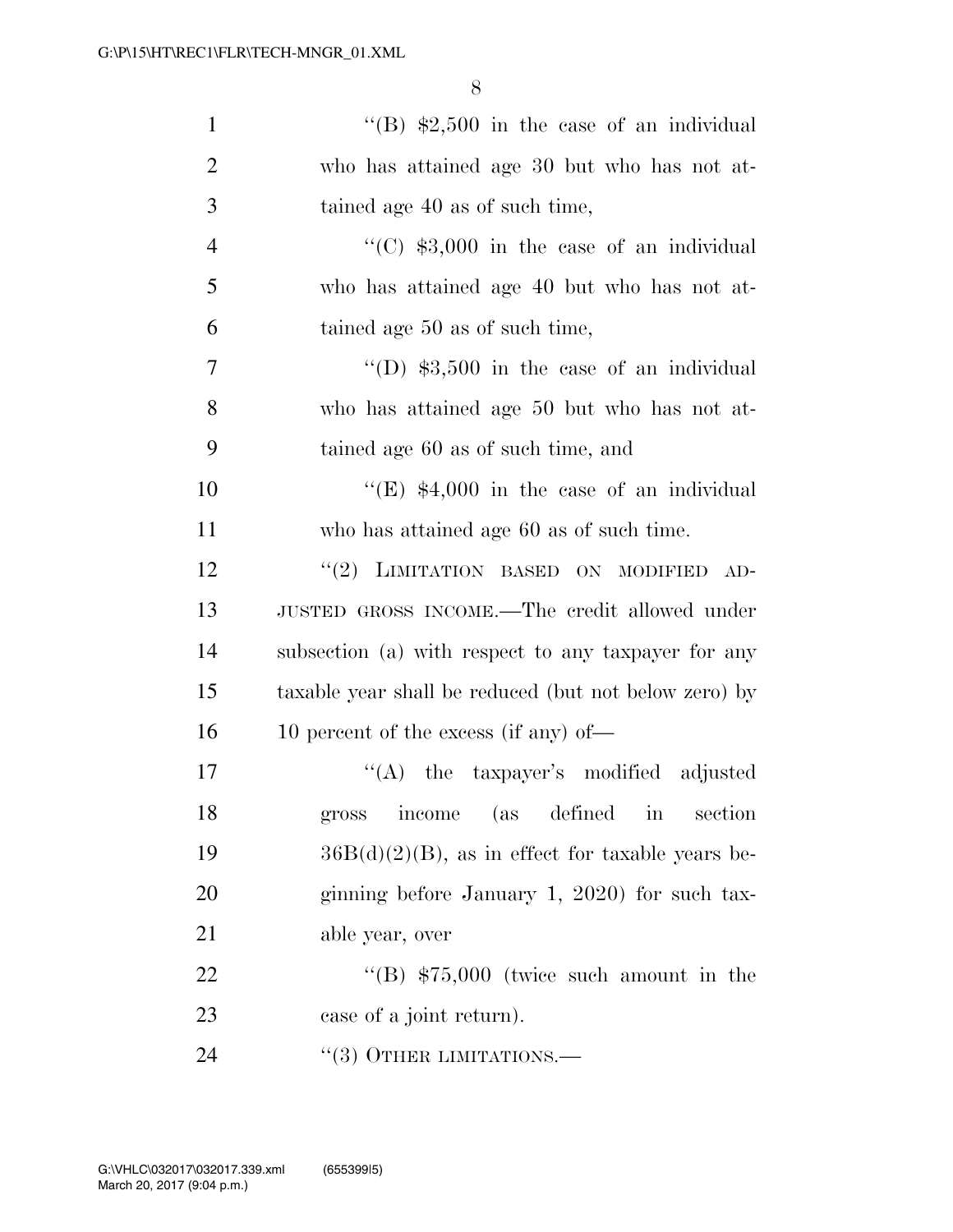| $\mathbf{1}$   | "(B) $$2,500$ in the case of an individual            |
|----------------|-------------------------------------------------------|
| $\overline{2}$ | who has attained age 30 but who has not at-           |
| 3              | tained age 40 as of such time,                        |
| $\overline{4}$ | "(C) $$3,000$ in the case of an individual            |
| 5              | who has attained age 40 but who has not at-           |
| 6              | tained age 50 as of such time,                        |
| 7              | $\lq\lq$ (D) \$3,500 in the case of an individual     |
| 8              | who has attained age 50 but who has not at-           |
| 9              | tained age 60 as of such time, and                    |
| 10             | "(E) $$4,000$ in the case of an individual            |
| 11             | who has attained age 60 as of such time.              |
| 12             | "(2) LIMITATION BASED ON MODIFIED AD-                 |
| 13             | JUSTED GROSS INCOME.—The credit allowed under         |
| 14             | subsection (a) with respect to any taxpayer for any   |
| 15             | taxable year shall be reduced (but not below zero) by |
| 16             | 10 percent of the excess (if any) of—                 |
| 17             | "(A) the taxpayer's modified adjusted                 |
| 18             | gross income (as defined in section                   |
| 19             | $36B(d)(2)(B)$ , as in effect for taxable years be-   |
| 20             | ginning before January 1, 2020) for such tax-         |
| 21             | able year, over                                       |
| 22             | "(B) $$75,000$ (twice such amount in the              |
| 23             | case of a joint return).                              |
| 24             | $\cdot\cdot(3)$ OTHER LIMITATIONS.—                   |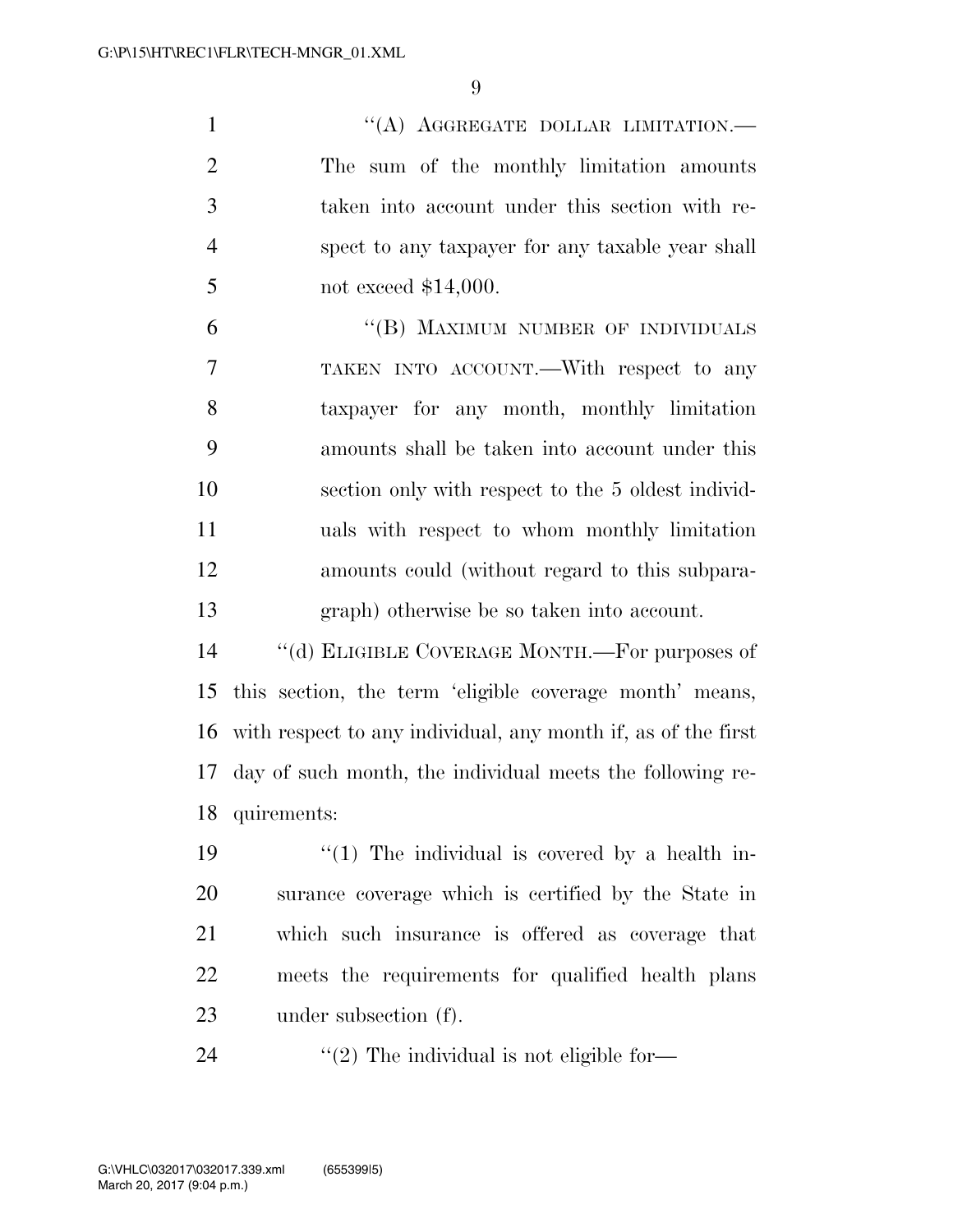1 "(A) AGGREGATE DOLLAR LIMITATION.— The sum of the monthly limitation amounts taken into account under this section with re- spect to any taxpayer for any taxable year shall not exceed \$14,000.

6 "(B) MAXIMUM NUMBER OF INDIVIDUALS TAKEN INTO ACCOUNT.—With respect to any taxpayer for any month, monthly limitation amounts shall be taken into account under this section only with respect to the 5 oldest individ- uals with respect to whom monthly limitation amounts could (without regard to this subpara-graph) otherwise be so taken into account.

 ''(d) ELIGIBLE COVERAGE MONTH.—For purposes of this section, the term 'eligible coverage month' means, with respect to any individual, any month if, as of the first day of such month, the individual meets the following re-quirements:

 $\frac{1}{2}$   $\frac{1}{2}$  The individual is covered by a health in- surance coverage which is certified by the State in which such insurance is offered as coverage that meets the requirements for qualified health plans under subsection (f).

24  $\frac{1}{2}$  The individual is not eligible for-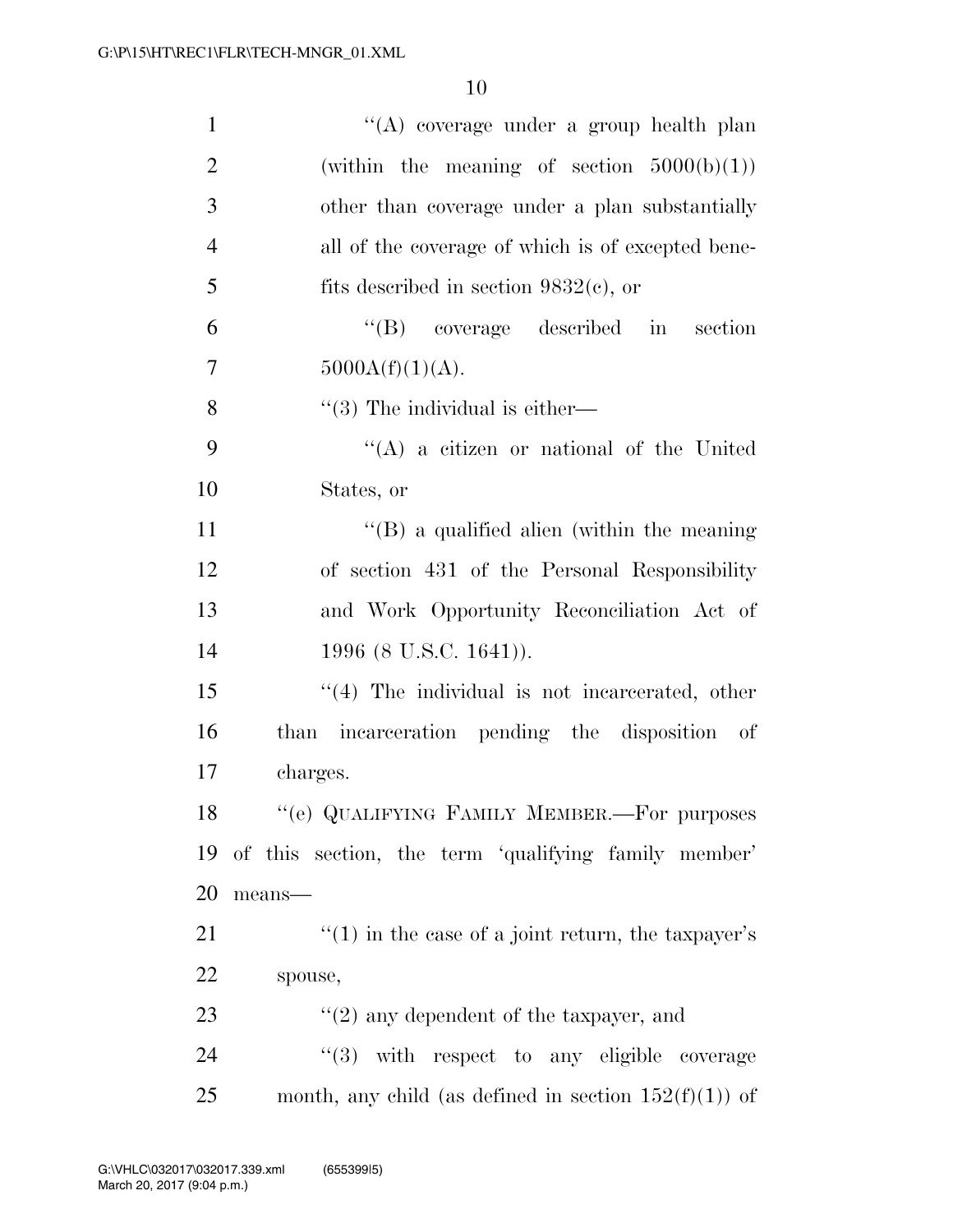| $\mathbf{1}$   | "(A) coverage under a group health plan                  |  |  |  |  |  |  |
|----------------|----------------------------------------------------------|--|--|--|--|--|--|
| $\overline{2}$ | (within the meaning of section $5000(b)(1)$ )            |  |  |  |  |  |  |
| 3              | other than coverage under a plan substantially           |  |  |  |  |  |  |
| $\overline{4}$ | all of the coverage of which is of excepted bene-        |  |  |  |  |  |  |
| 5              | fits described in section $9832(c)$ , or                 |  |  |  |  |  |  |
| 6              | "(B) coverage described in section                       |  |  |  |  |  |  |
| 7              | 5000A(f)(1)(A).                                          |  |  |  |  |  |  |
| 8              | $\lq(3)$ The individual is either—                       |  |  |  |  |  |  |
| 9              | $\lq\lq$ (A) a citizen or national of the United         |  |  |  |  |  |  |
| 10             | States, or                                               |  |  |  |  |  |  |
| 11             | $\lq\lq$ a qualified alien (within the meaning           |  |  |  |  |  |  |
| 12             | of section 431 of the Personal Responsibility            |  |  |  |  |  |  |
| 13             | and Work Opportunity Reconciliation Act of               |  |  |  |  |  |  |
| 14             | 1996 (8 U.S.C. 1641)).                                   |  |  |  |  |  |  |
| 15             | "(4) The individual is not incarcerated, other           |  |  |  |  |  |  |
| 16             | than incarceration pending the disposition of            |  |  |  |  |  |  |
| 17             | charges.                                                 |  |  |  |  |  |  |
| 18             | "(e) QUALIFYING FAMILY MEMBER.—For purposes              |  |  |  |  |  |  |
| 19             | of this section, the term 'qualifying family member'     |  |  |  |  |  |  |
| 20             | means-                                                   |  |  |  |  |  |  |
| 21             | $f'(1)$ in the case of a joint return, the taxpayer's    |  |  |  |  |  |  |
| 22             | spouse,                                                  |  |  |  |  |  |  |
| 23             | $\lq(2)$ any dependent of the taxpayer, and              |  |  |  |  |  |  |
| 24             | "(3) with respect to any eligible coverage               |  |  |  |  |  |  |
| 25             | month, any child (as defined in section $152(f)(1)$ ) of |  |  |  |  |  |  |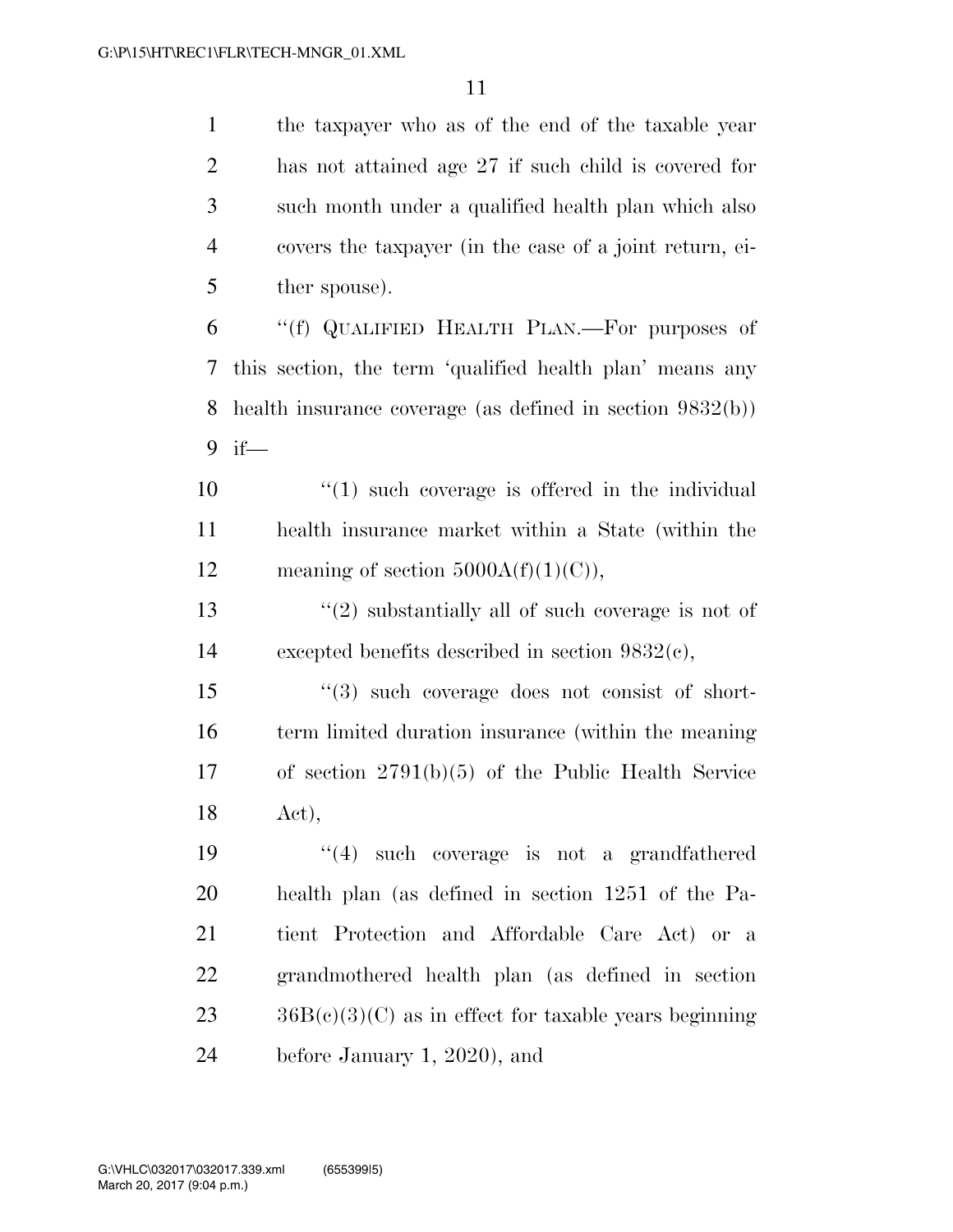the taxpayer who as of the end of the taxable year has not attained age 27 if such child is covered for such month under a qualified health plan which also covers the taxpayer (in the case of a joint return, ei-5 ther spouse).

 ''(f) QUALIFIED HEALTH PLAN.—For purposes of this section, the term 'qualified health plan' means any health insurance coverage (as defined in section 9832(b)) if—

 ''(1) such coverage is offered in the individual health insurance market within a State (within the 12 meaning of section  $5000A(f)(1)(C)$ ,

13  $\frac{1}{2}$  substantially all of such coverage is not of excepted benefits described in section 9832(c),

 ''(3) such coverage does not consist of short- term limited duration insurance (within the meaning of section 2791(b)(5) of the Public Health Service Act),

 ''(4) such coverage is not a grandfathered health plan (as defined in section 1251 of the Pa- tient Protection and Affordable Care Act) or a grandmothered health plan (as defined in section  $23 \qquad \text{36B}(c)(3)(C)$  as in effect for taxable years beginning before January 1, 2020), and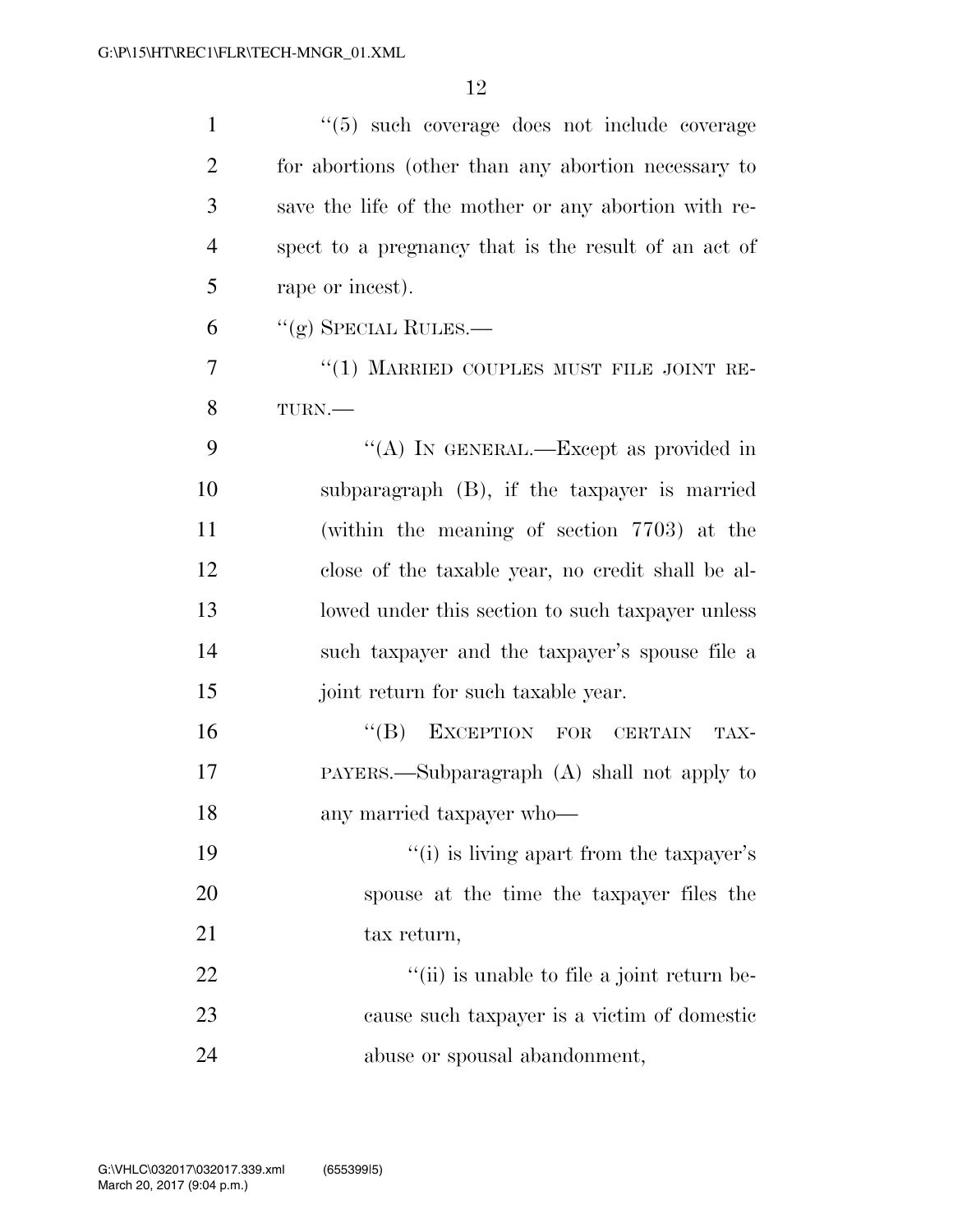| $\mathbf{1}$   | "(5) such coverage does not include coverage                 |
|----------------|--------------------------------------------------------------|
| $\overline{2}$ | for abortions (other than any abortion necessary to          |
| 3              | save the life of the mother or any abortion with re-         |
| $\overline{4}$ | spect to a pregnancy that is the result of an act of         |
| 5              | rape or incest).                                             |
| 6              | $``(g)$ SPECIAL RULES.—                                      |
| 7              | "(1) MARRIED COUPLES MUST FILE JOINT RE-                     |
| 8              | TURN.-                                                       |
| 9              | "(A) IN GENERAL.—Except as provided in                       |
| 10             | subparagraph (B), if the taxpayer is married                 |
| 11             | (within the meaning of section 7703) at the                  |
| 12             | close of the taxable year, no credit shall be al-            |
| 13             | lowed under this section to such taxpayer unless             |
| 14             | such taxpayer and the taxpayer's spouse file a               |
| 15             | joint return for such taxable year.                          |
| 16             | "(B) EXCEPTION FOR CERTAIN<br>TAX-                           |
| 17             | PAYERS.—Subparagraph $(A)$ shall not apply to                |
| 18             | any married taxpayer who-                                    |
| 19             | "(i) is living apart from the taxpayer's                     |
| 20             | spouse at the time the taxpayer files the                    |
| 21             | tax return,                                                  |
| 22             | $\lq$ <sup>"</sup> (ii) is unable to file a joint return be- |
| 23             | cause such taxpayer is a victim of domestic                  |
| 24             | abuse or spousal abandonment,                                |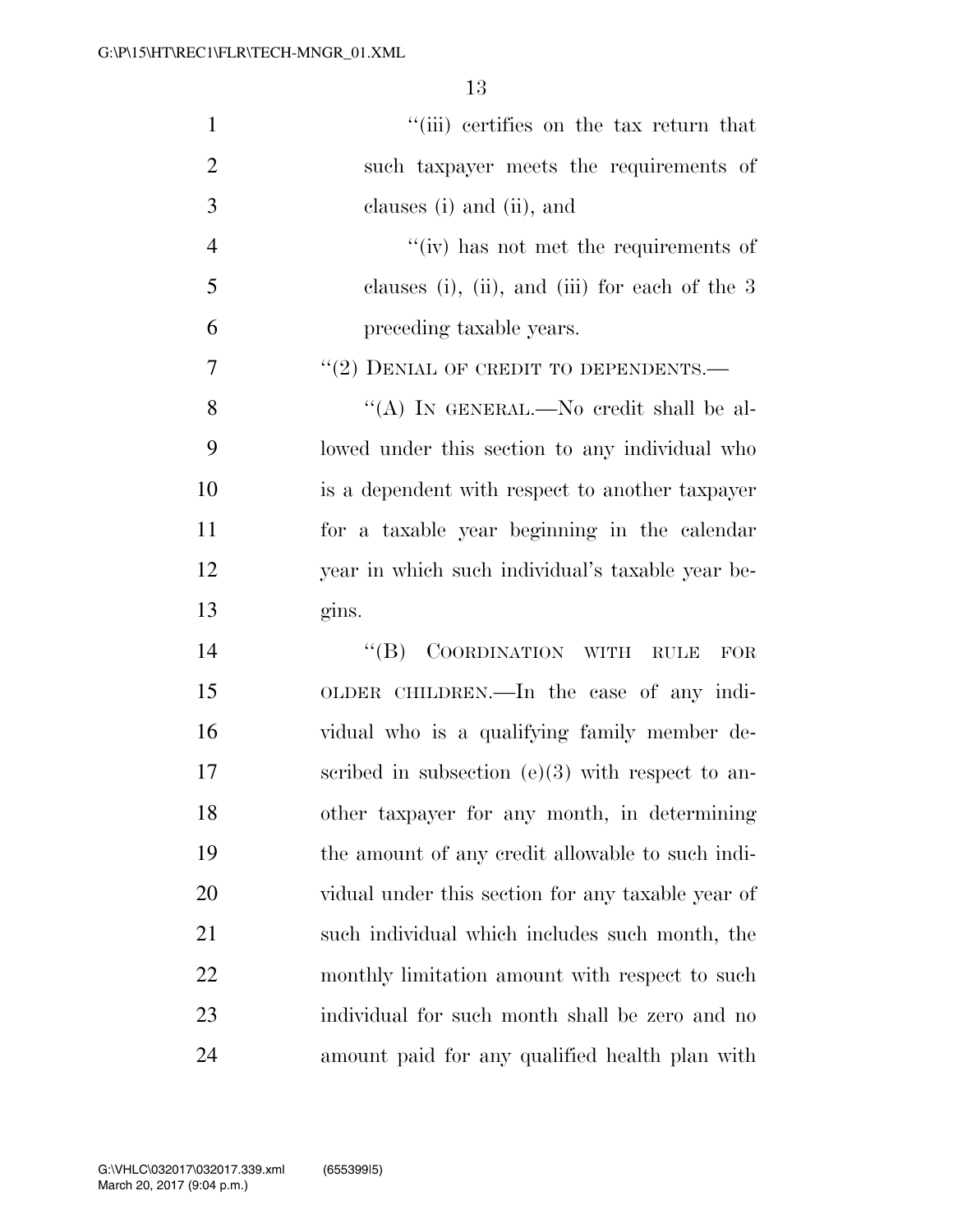| $\mathbf{1}$   | "(iii) certifies on the tax return that               |
|----------------|-------------------------------------------------------|
| $\overline{2}$ | such taxpayer meets the requirements of               |
| 3              | clauses (i) and (ii), and                             |
| $\overline{4}$ | $f'(iv)$ has not met the requirements of              |
| 5              | clauses (i), (ii), and (iii) for each of the $3$      |
| 6              | preceding taxable years.                              |
| $\tau$         | $``(2)$ DENIAL OF CREDIT TO DEPENDENTS.—              |
| 8              | "(A) IN GENERAL.—No credit shall be al-               |
| 9              | lowed under this section to any individual who        |
| 10             | is a dependent with respect to another taxpayer       |
| 11             | for a taxable year beginning in the calendar          |
| 12             | year in which such individual's taxable year be-      |
| 13             | gins.                                                 |
| 14             | COORDINATION WITH RULE<br>$\lq\lq (B)$<br>${\rm FOR}$ |
| 15             | OLDER CHILDREN.—In the case of any indi-              |
| 16             | vidual who is a qualifying family member de-          |
| 17             | scribed in subsection $(e)(3)$ with respect to an-    |
| 18             | other taxpayer for any month, in determining          |
| 19             | the amount of any credit allowable to such indi-      |
|                | vidual under this section for any taxable year of     |
| <b>20</b>      |                                                       |
| 21             | such individual which includes such month, the        |
| 22             | monthly limitation amount with respect to such        |
| 23             | individual for such month shall be zero and no        |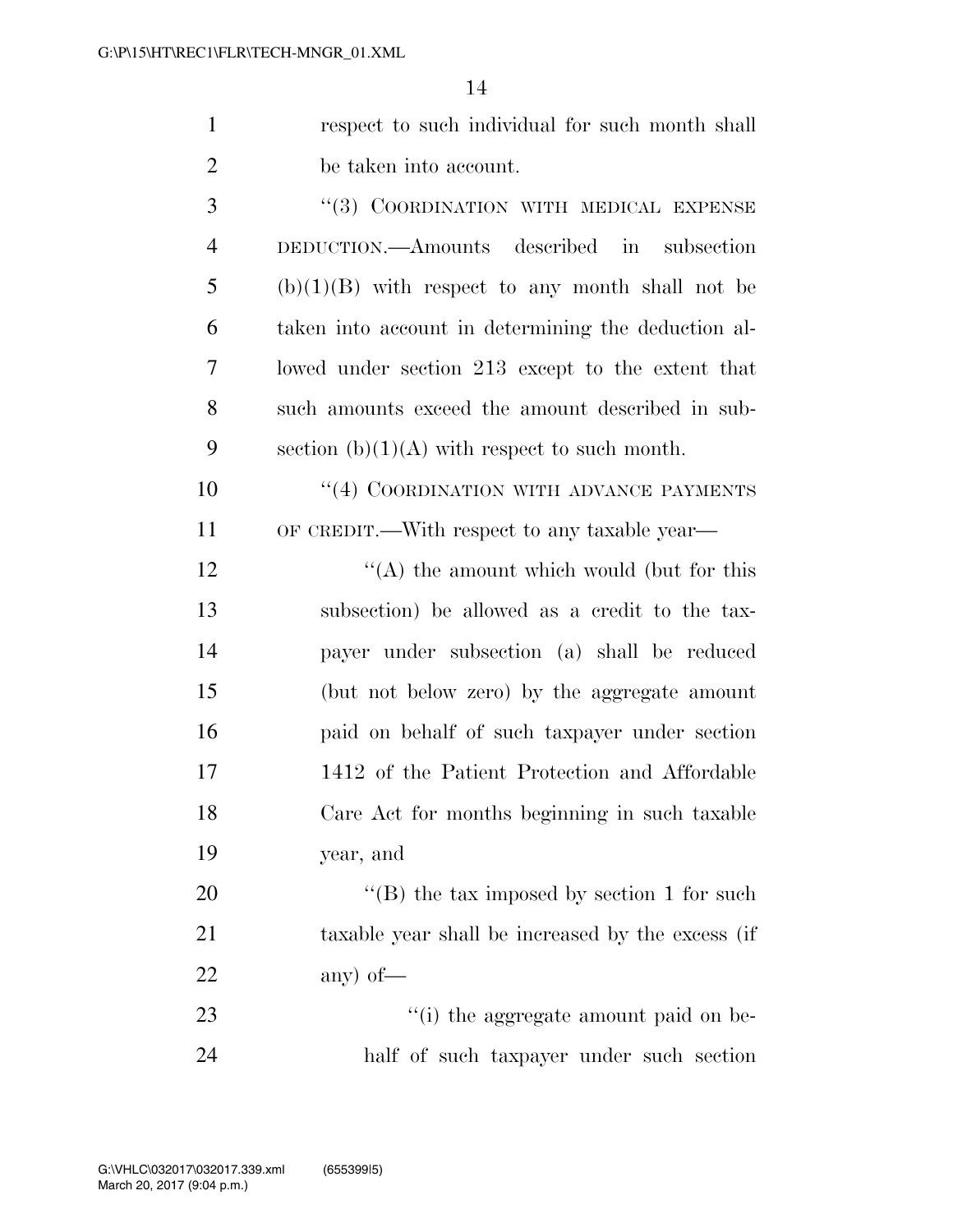| respect to such individual for such month shall |
|-------------------------------------------------|
| be taken into account.                          |
| "(3) COORDINATION WITH MEDICAL EXPENSE          |

| $\overline{4}$ | DEDUCTION.—Amounts described in<br>subsection       |
|----------------|-----------------------------------------------------|
| 5              | $(b)(1)(B)$ with respect to any month shall not be  |
| 6              | taken into account in determining the deduction al- |
| 7              | lowed under section 213 except to the extent that   |
| 8              | such amounts exceed the amount described in sub-    |
| 9              | section $(b)(1)(A)$ with respect to such month.     |

10  $(4)$  COORDINATION WITH ADVANCE PAYMENTS OF CREDIT.—With respect to any taxable year—

12 ''(A) the amount which would (but for this subsection) be allowed as a credit to the tax- payer under subsection (a) shall be reduced (but not below zero) by the aggregate amount paid on behalf of such taxpayer under section 1412 of the Patient Protection and Affordable Care Act for months beginning in such taxable year, and

20  $\text{``(B) the tax imposed by section 1 for such}$  taxable year shall be increased by the excess (if any) of—

23  $\frac{1}{2}$  (i) the aggregate amount paid on be-half of such taxpayer under such section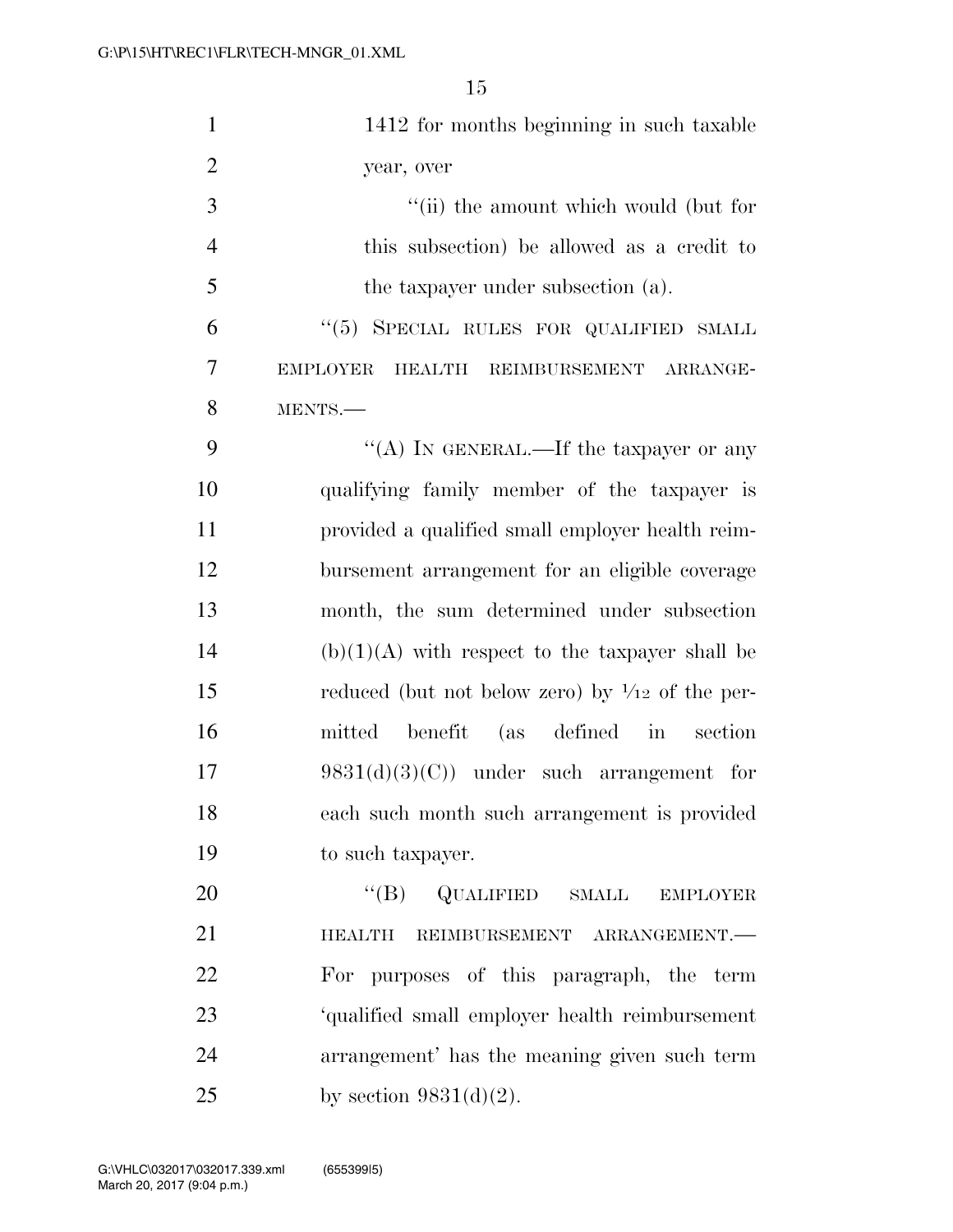| $\mathbf{1}$   | 1412 for months beginning in such taxable                              |
|----------------|------------------------------------------------------------------------|
| $\overline{2}$ | year, over                                                             |
| 3              | "(ii) the amount which would (but for                                  |
| $\overline{4}$ | this subsection) be allowed as a credit to                             |
| 5              | the taxpayer under subsection (a).                                     |
| 6              | "(5) SPECIAL RULES FOR QUALIFIED SMALL                                 |
| 7              | <b>EMPLOYER</b><br>HEALTH REIMBURSEMENT ARRANGE-                       |
| 8              | MENTS.                                                                 |
| 9              | "(A) IN GENERAL.—If the taxpayer or any                                |
| 10             | qualifying family member of the taxpayer is                            |
| 11             | provided a qualified small employer health reim-                       |
| 12             | bursement arrangement for an eligible coverage                         |
| 13             | month, the sum determined under subsection                             |
| 14             | $(b)(1)(A)$ with respect to the taxpayer shall be                      |
| 15             | reduced (but not below zero) by $\frac{1}{12}$ of the per-             |
| 16             | mitted benefit (as defined in<br>section                               |
| 17             | $9831(d)(3)(C)$ under such arrangement for                             |
| 18             | each such month such arrangement is provided                           |
| 19             | to such taxpayer.                                                      |
| 20             | $\lq\lq (B)$<br>QUALIFIED<br>$\operatorname{SMALL}$<br><b>EMPLOYER</b> |
| 21             | <b>HEALTH</b><br>REIMBURSEMENT ARRANGEMENT.                            |
| 22             | For purposes of this paragraph, the term                               |
| 23             | 'qualified small employer health reimbursement                         |
| 24             | arrangement' has the meaning given such term                           |
| 25             | by section $9831(d)(2)$ .                                              |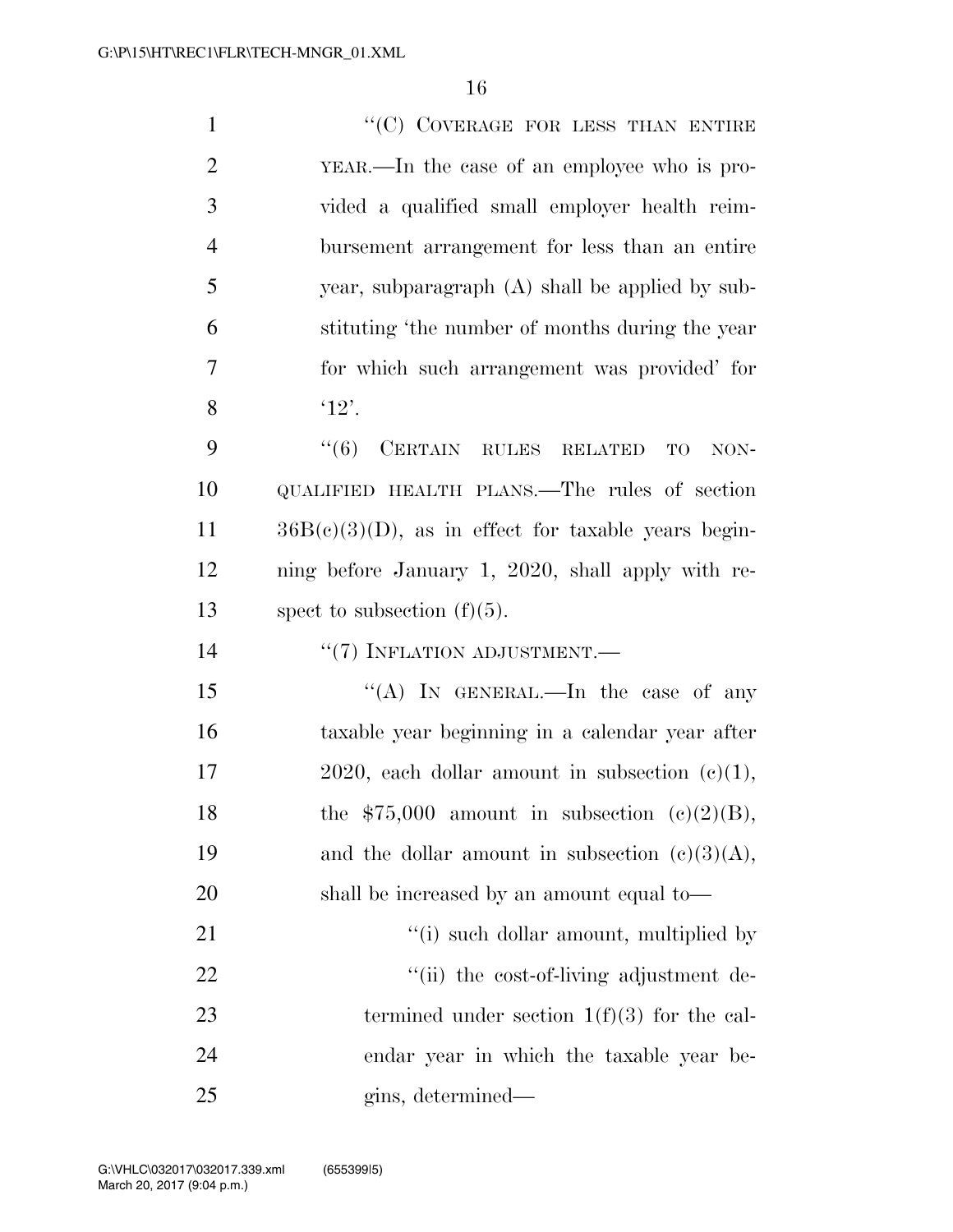| $\mathbf{1}$   | "(C) COVERAGE FOR LESS THAN ENTIRE                     |
|----------------|--------------------------------------------------------|
| $\overline{2}$ | YEAR.—In the case of an employee who is pro-           |
| 3              | vided a qualified small employer health reim-          |
| $\overline{4}$ | bursement arrangement for less than an entire          |
| 5              | year, subparagraph (A) shall be applied by sub-        |
| 6              | stituting 'the number of months during the year        |
| $\overline{7}$ | for which such arrangement was provided' for           |
| 8              | '12'.                                                  |
| 9              | CERTAIN RULES RELATED<br>``(6)<br>TO<br>NON-           |
| 10             | QUALIFIED HEALTH PLANS.—The rules of section           |
| 11             | $36B(c)(3)(D)$ , as in effect for taxable years begin- |
| 12             | ning before January 1, 2020, shall apply with re-      |
|                |                                                        |
| 13             | spect to subsection $(f)(5)$ .                         |
| 14             | "(7) INFLATION ADJUSTMENT.-                            |
| 15             | "(A) IN GENERAL.—In the case of any                    |
| 16             | taxable year beginning in a calendar year after        |
| 17             | 2020, each dollar amount in subsection $(e)(1)$ ,      |
| 18             | the $$75,000$ amount in subsection (c)(2)(B),          |
| 19             | and the dollar amount in subsection $(c)(3)(A)$ ,      |
| 20             | shall be increased by an amount equal to—              |
| 21             | "(i) such dollar amount, multiplied by                 |
| 22             | "(ii) the cost-of-living adjustment de-                |
| 23             | termined under section $1(f)(3)$ for the cal-          |

gins, determined—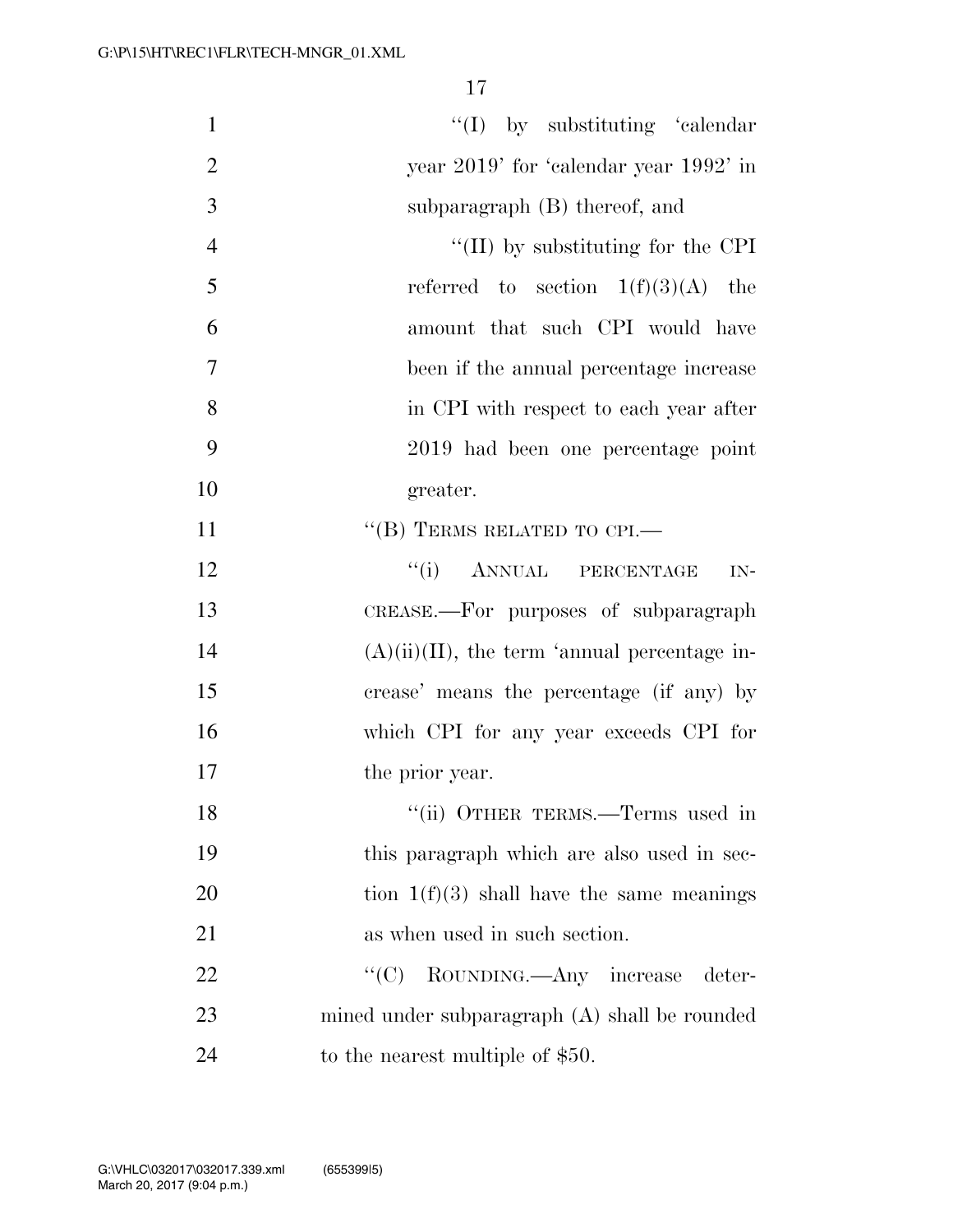| $\mathbf{1}$   | $\lq\lq$ (I) by substituting 'calendar'         |
|----------------|-------------------------------------------------|
| $\overline{2}$ | year 2019' for 'calendar year 1992' in          |
| 3              | subparagraph (B) thereof, and                   |
| $\overline{4}$ | $\lq\lq$ (II) by substituting for the CPI       |
| 5              | referred to section $1(f)(3)(A)$ the            |
| 6              | amount that such CPI would have                 |
| 7              | been if the annual percentage increase          |
| 8              | in CPI with respect to each year after          |
| 9              | 2019 had been one percentage point              |
| 10             | greater.                                        |
| 11             | $``$ (B) TERMS RELATED TO CPI.—                 |
| 12             | ``(i)<br>ANNUAL PERCENTAGE<br>IN-               |
| 13             | CREASE.—For purposes of subparagraph            |
| 14             | $(A)(ii)(II)$ , the term 'annual percentage in- |
| 15             | crease' means the percentage (if any) by        |
| 16             | which CPI for any year exceeds CPI for          |
| 17             | the prior year.                                 |
| 18             | "(ii) OTHER TERMS.—Terms used in                |
| 19             | this paragraph which are also used in sec-      |
| 20             | tion $1(f)(3)$ shall have the same meanings     |
| 21             | as when used in such section.                   |
| 22             | ``(C)<br>ROUNDING.—Any increase<br>deter-       |
| 23             | mined under subparagraph (A) shall be rounded   |
| 24             | to the nearest multiple of \$50.                |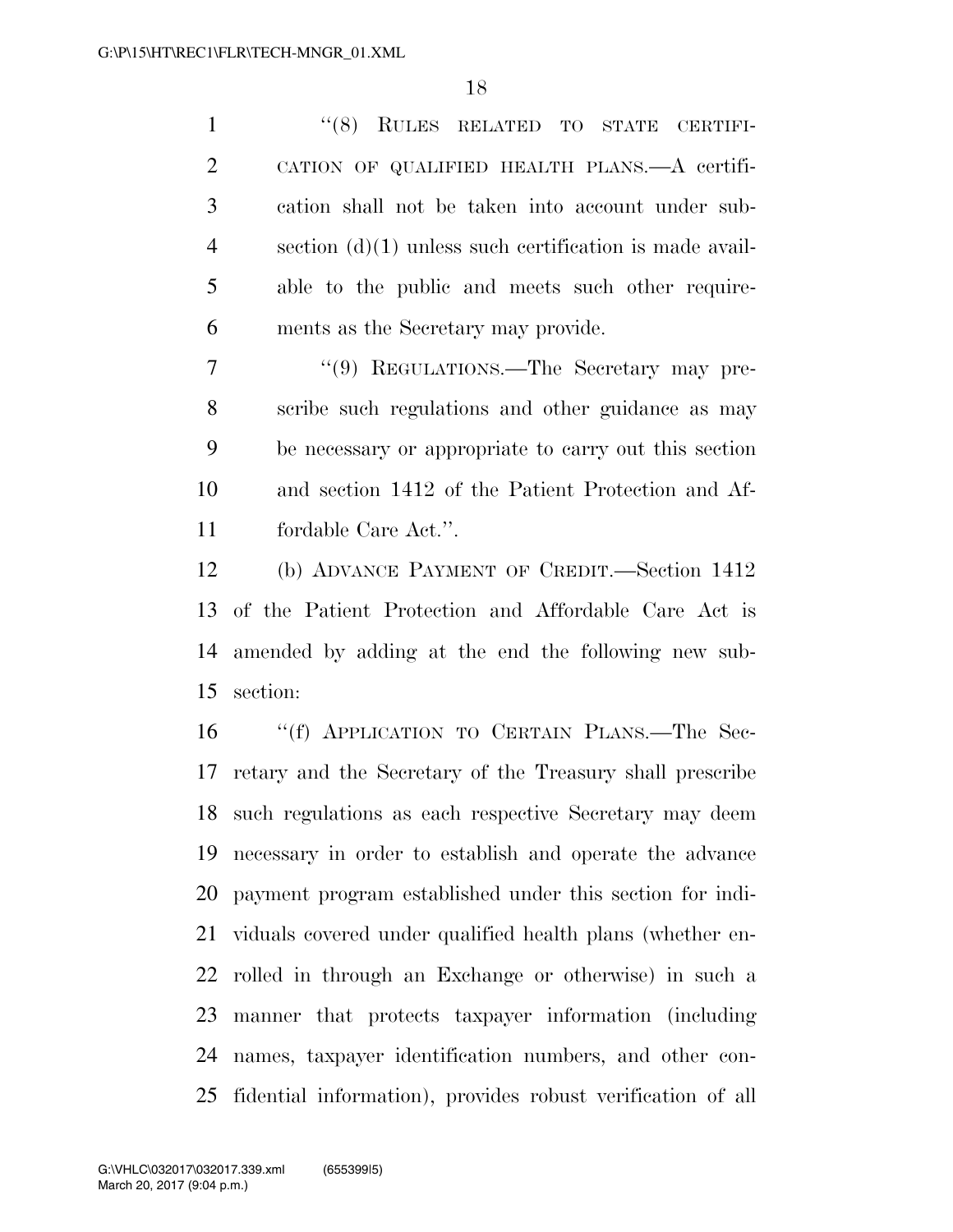''(8) RULES RELATED TO STATE CERTIFI- CATION OF QUALIFIED HEALTH PLANS.—A certifi- cation shall not be taken into account under sub- section (d)(1) unless such certification is made avail- able to the public and meets such other require-ments as the Secretary may provide.

7 "'(9) REGULATIONS.—The Secretary may pre- scribe such regulations and other guidance as may be necessary or appropriate to carry out this section and section 1412 of the Patient Protection and Af-fordable Care Act.''.

 (b) ADVANCE PAYMENT OF CREDIT.—Section 1412 of the Patient Protection and Affordable Care Act is amended by adding at the end the following new sub-section:

 ''(f) APPLICATION TO CERTAIN PLANS.—The Sec- retary and the Secretary of the Treasury shall prescribe such regulations as each respective Secretary may deem necessary in order to establish and operate the advance payment program established under this section for indi- viduals covered under qualified health plans (whether en- rolled in through an Exchange or otherwise) in such a manner that protects taxpayer information (including names, taxpayer identification numbers, and other con-fidential information), provides robust verification of all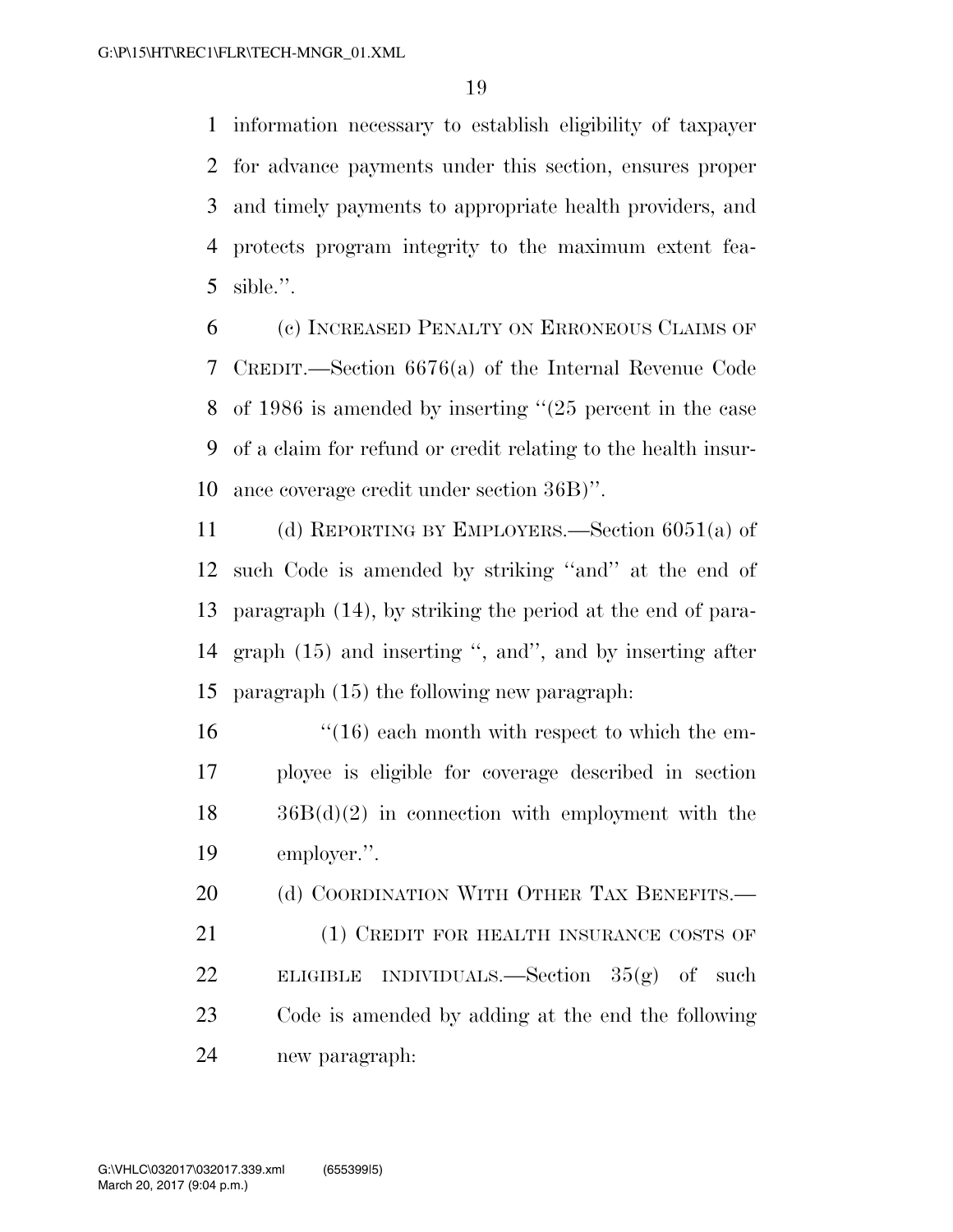information necessary to establish eligibility of taxpayer for advance payments under this section, ensures proper and timely payments to appropriate health providers, and protects program integrity to the maximum extent fea-sible.''.

 (c) INCREASED PENALTY ON ERRONEOUS CLAIMS OF CREDIT.—Section 6676(a) of the Internal Revenue Code of 1986 is amended by inserting ''(25 percent in the case of a claim for refund or credit relating to the health insur-ance coverage credit under section 36B)''.

 (d) REPORTING BY EMPLOYERS.—Section 6051(a) of such Code is amended by striking ''and'' at the end of paragraph (14), by striking the period at the end of para- graph (15) and inserting '', and'', and by inserting after paragraph (15) the following new paragraph:

 $\frac{16}{16}$   $\frac{16}{16}$  each month with respect to which the em- ployee is eligible for coverage described in section 36B(d)(2) in connection with employment with the employer.''.

21 (1) CREDIT FOR HEALTH INSURANCE COSTS OF ELIGIBLE INDIVIDUALS.—Section 35(g) of such Code is amended by adding at the end the following new paragraph:

20 (d) COORDINATION WITH OTHER TAX BENEFITS.—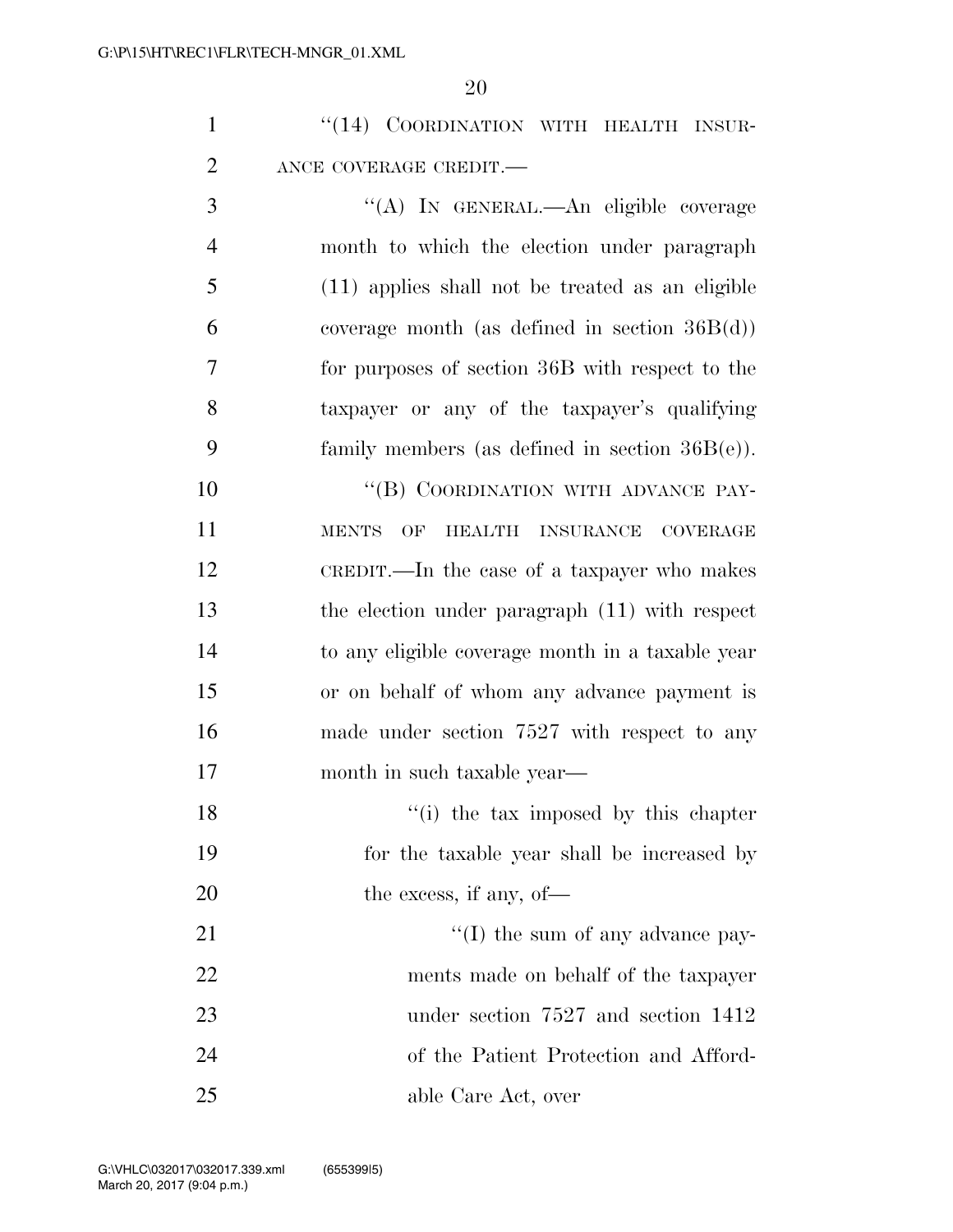|  | "(14) COORDINATION WITH HEALTH INSUR- |  |  |
|--|---------------------------------------|--|--|
|  | ANCE COVERAGE CREDIT.—                |  |  |

 ''(A) IN GENERAL.—An eligible coverage month to which the election under paragraph (11) applies shall not be treated as an eligible 6 coverage month (as defined in section  $36B(d)$ ) for purposes of section 36B with respect to the taxpayer or any of the taxpayer's qualifying family members (as defined in section 36B(e)).

10 "(B) COORDINATION WITH ADVANCE PAY- MENTS OF HEALTH INSURANCE COVERAGE CREDIT.—In the case of a taxpayer who makes the election under paragraph (11) with respect to any eligible coverage month in a taxable year or on behalf of whom any advance payment is made under section 7527 with respect to any month in such taxable year—

18 ''(i) the tax imposed by this chapter for the taxable year shall be increased by 20 the excess, if any, of—

 $\frac{1}{2}$  The sum of any advance pay- ments made on behalf of the taxpayer under section 7527 and section 1412 of the Patient Protection and Afford-able Care Act, over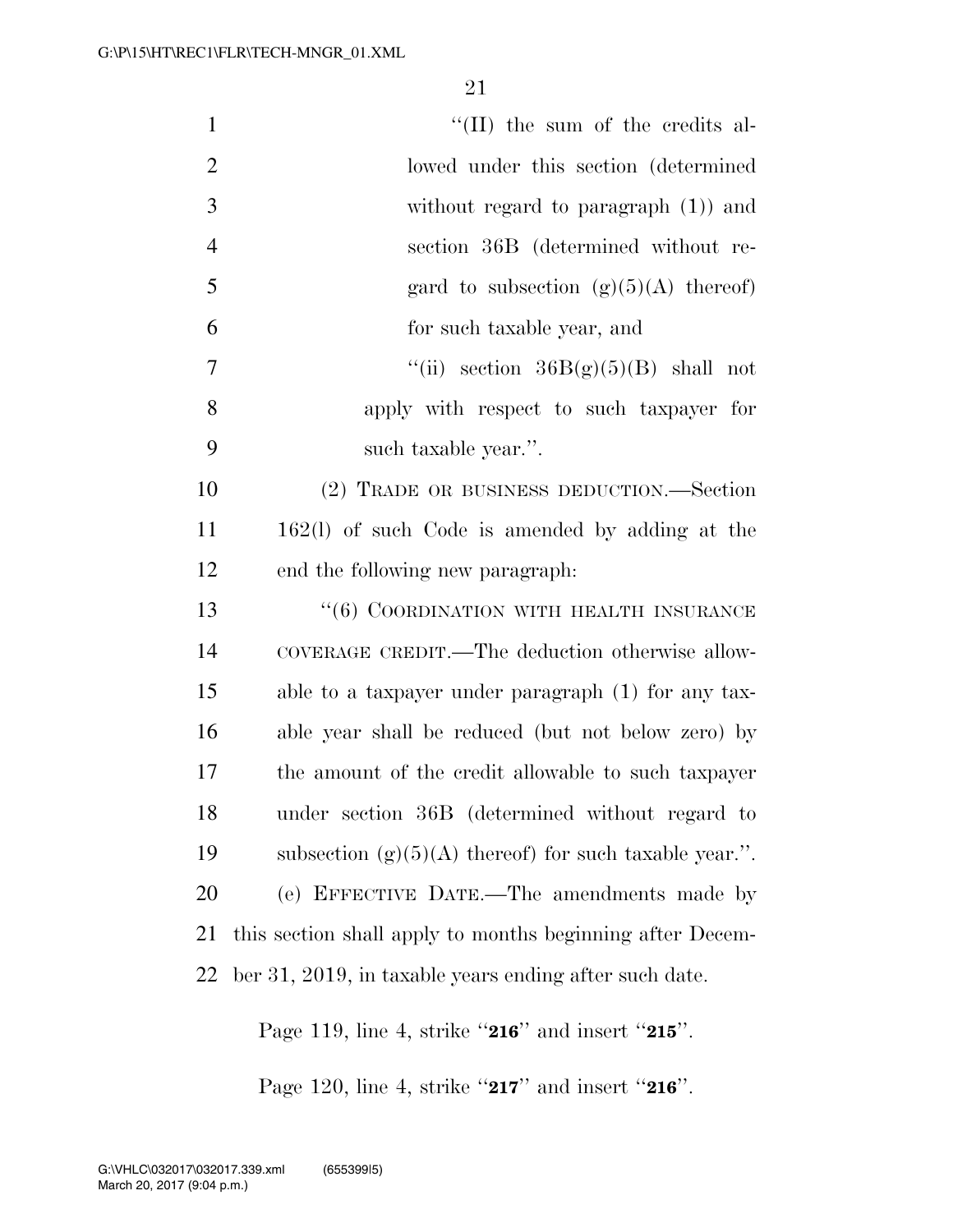| $\mathbf{1}$   | $\lq\lq$ (II) the sum of the credits al-                  |
|----------------|-----------------------------------------------------------|
| $\overline{2}$ | lowed under this section (determined)                     |
| 3              | without regard to paragraph $(1)$ and                     |
| $\overline{4}$ | section 36B (determined without re-                       |
| 5              | gard to subsection $(g)(5)(A)$ thereof)                   |
| 6              | for such taxable year, and                                |
| 7              | "(ii) section $36B(g)(5)(B)$ shall not                    |
| 8              | apply with respect to such taxpayer for                   |
| 9              | such taxable year.".                                      |
| 10             | (2) TRADE OR BUSINESS DEDUCTION.—Section                  |
| 11             | 162(1) of such Code is amended by adding at the           |
| 12             | end the following new paragraph:                          |
| 13             | "(6) COORDINATION WITH HEALTH INSURANCE                   |
| 14             | COVERAGE CREDIT.—The deduction otherwise allow-           |
| 15             | able to a taxpayer under paragraph (1) for any tax-       |
| 16             | able year shall be reduced (but not below zero) by        |
| 17             | the amount of the credit allowable to such taxpayer       |
| 18             | under section 36B (determined without regard to           |
| 19             | subsection $(g)(5)(A)$ thereof) for such taxable year.".  |
| 20             | (e) EFFECTIVE DATE.—The amendments made by                |
| 21             | this section shall apply to months beginning after Decem- |
| 22             | ber 31, 2019, in taxable years ending after such date.    |
|                |                                                           |

Page 119, line 4, strike ''**216**'' and insert ''**215**''.

Page 120, line 4, strike ''**217**'' and insert ''**216**''.